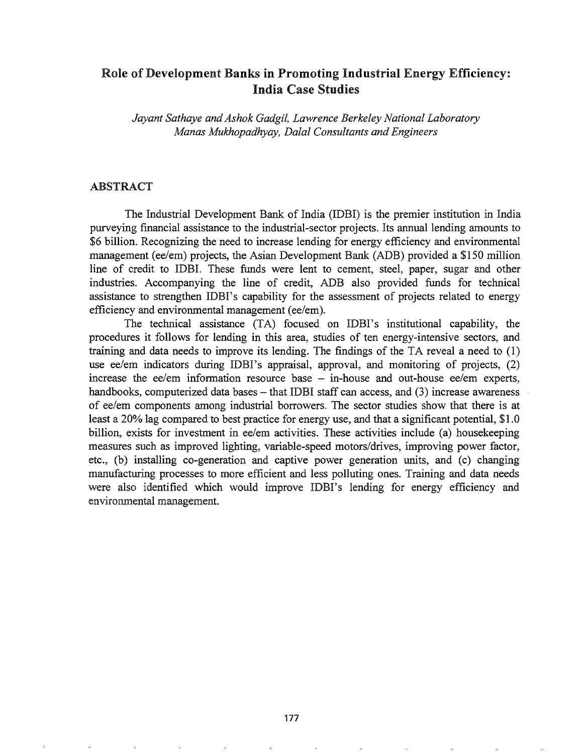# Role of Development Banks in Promoting Industrial Energy Efficiency: India Case Studies

*Jayant Sathaye andAshok Gadgil, Lawrence Berkeley National Laboratory Manas Mukhopadhyay, Dalal Consultants and Engineers*

### ABSTRACT

The Industrial Development Bank of India (IDBI) is the premier institution in India purveying financial assistance to the industrial-sector projects. Its annual lending amounts to \$6 billion. Recognizing the need to increase lending for energy efficiency and environmental management (ee/em) projects, the Asian Development Bank (ADB) provided a \$150 million line of credit to IDBI. These funds were lent to cement, steel, paper, sugar and other industries. Accompanying the line of credit, ADB also provided funds for technical assistance to strengthen IDB!'s capability for the assessment of projects related to energy efficiency and environmental management (ee/em).

The technical assistance (TA) focused on IDBI's institutional capability, the procedures it follows for lending in this area, studies of ten energy-intensive sectors, and training and data needs to improve its lending. The findings of the TA reveal a need to (1) use ee/em indicators during IDBI's appraisal, approval, and monitoring of projects, (2) increase the ee/em information resource base  $-$  in-house and out-house ee/em experts, handbooks, computerized data bases – that IDBI staff can access, and (3) increase awareness of ee/em components among industrial borrowers. The sector studies show that there is at least a 20% lag compared to best practice for energy use, and that a significant potential, \$1.0 billion, exists for investment in ee/em activities. These activities include (a) housekeeping measures such as improved lighting, variable-speed motors/drives, improving power factor, etc., (b) installing co-generation and captive power generation units, and (c) changing manufacturing processes to more efficient and less polluting ones. Training and data needs were also identified which would improve IDBI's lending for energy efficiency and environmental management..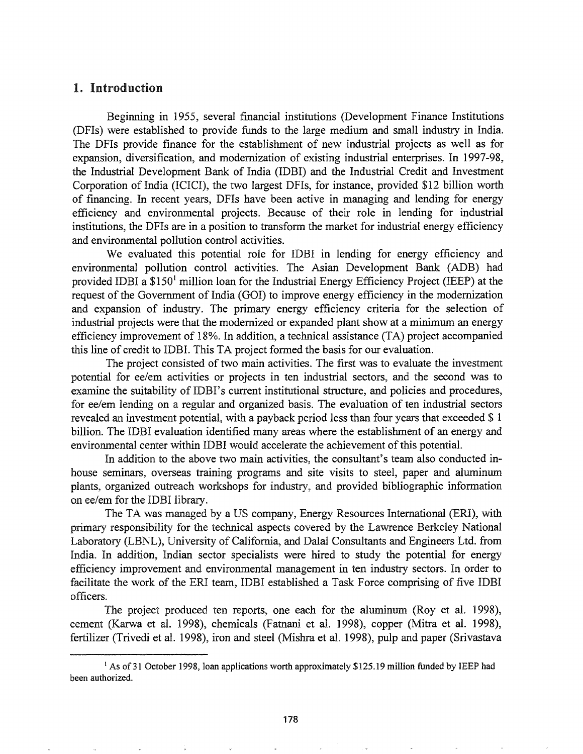## 1. Introduction

Beginning in 1955, several financial institutions (Development Finance Institutions (DFIs) were established to provide funds to the large medium and small industry in India. The DFIs provide finance for the establishment of new industrial projects as well as for expansion, diversification, and modernization of existing industrial enterprises. In 1997-98, the Industrial Development Bank of India (IDBI) and the Industrial Credit and Investment Corporation of India (ICICI), the two largest DFIs, for instance, provided \$12 billion worth of financing. In recent years, DFIs have been active in managing and lending for energy efficiency and environmental projects. Because of their role in lending for industrial institutions, the DFIs are in a position to transform the market for industrial energy efficiency and environmental pollution control activities.

We evaluated this potential role for IDBI in lending for energy efficiency and environmental pollution control activities. The Asian Development Bank (ADB) had provided IDBI a  $$150<sup>1</sup>$  million loan for the Industrial Energy Efficiency Project (IEEP) at the request of the Government of India (GOI) to improve energy efficiency in the modernization and expansion of industry. The primary energy efficiency criteria for the selection of industrial projects were that the modernized or expanded plant show at a minimum an energy efficiency improvement of 18%. In addition, a technical assistance (TA) project accompanied this line of credit to IDBI. This TA project formed the basis for our evaluation.

The project consisted of two main activities. The first was to evaluate the investment potential for *ee/em* activities or projects in ten industrial sectors, and the second was to examine the suitability of IDBI's current institutional structure, and policies and procedures, for *ee/em* lending on a regular and organized basis. The evaluation of ten industrial sectors revealed an investment potential, with a payback period less than four years that exceeded \$ 1 billion. The IDBI evaluation identified many areas where the establishment of an energy and environmental center within IDBI would accelerate the achievement of this potential.

In addition to the above two main activities, the consultant's team also conducted inhouse seminars, overseas training programs and site visits to steel, paper and aluminum plants, organized outreach workshops for industry, and provided bibliographic information on ee/em for the IDBI library.

The TA was managed by a US company, Energy Resources International (ERI), with primary responsibility for the technical aspects covered by the Lawrence Berkeley National Laboratory (LBNL), University of California, and Dalal Consultants and Engineers Ltd. from India. In addition, Indian sector specialists were hired to study the potential for energy efficiency improvement and environmental management in ten industry sectors. In order to facilitate the work of the ERI team, IDBI established a Task Force comprising of five IDBI officers~

The project produced ten reports, one each for the aluminum (Roy et al. 1998), cement (Karwa et al. 1998), chemicals (Fatnani et al. 1998), copper (Mitra et al. 1998), fertilizer (Trivedi et al. 1998), iron and steel (Mishra et al. 1998), pulp and paper (Srivastava

<sup>&</sup>lt;sup>1</sup> As of 31 October 1998, loan applications worth approximately \$125.19 million funded by IEEP had been authorized.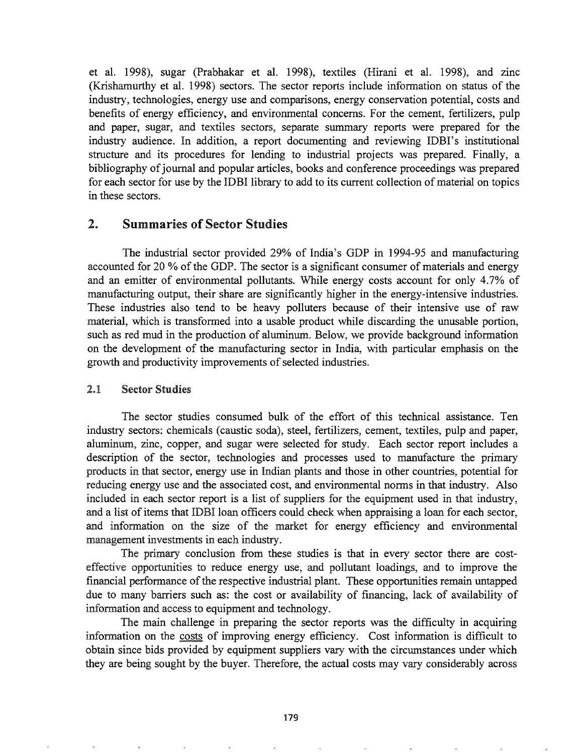et al. 1998), sugar (Prabhakar et al. 1998), textiles (Hirani et al. 1998), and zinc (Krishamurthy et al. 1998) sectors. The sector reports include information on status of the industry, technologies, energy use and comparisons, energy conservation potential, costs and benefits of energy efficiency, and environmental concerns. For the cement, fertilizers, pulp and paper, sugar, and textiles sectors, separate summary reports were prepared for the industry audience. In addition, a report documenting and reviewing IDBI's institutional structure and its procedures for lending to industrial projects was prepared. Finally, a bibliography of journal and popular articles, books and conference proceedings was prepared for each sector for use by the IDBI library to add to its current collection of material on topics in these sectors.

# 2. Summaries of Sector Studies

The industrial sector provided 29% of India's GDP in 1994-95 and manufacturing accounted for 20 % of the GDP. The sector is a significant consumer of materials and energy and an emitter of environmental pollutants. While energy costs account for only 4.7% of manufacturing output, their share are significantly higher in the energy-intensive industries. These industries also tend to be heavy polluters because of their intensive use of raw material, which is transformed into a usable product while discarding the unusable portion, such as red mud in the production of aluminum. Below, we provide background information on the development of the manufacturing sector in India, with particular emphasis on the growth and productivity improvements of selected industries.

### 2.1 Sector Studies

The sector studies consumed bulk of the effort of this technical assistance.. Ten industry sectors: chemicals (caustic soda), steel, fertilizers, cement, textiles, pulp and paper, aluminum, zinc, copper, and sugar were selected for study.. Each sector report includes a description of the sector, technologies and processes used to manufacture the primary products in that sector, energy use in Indian plants and those in other countries, potential for reducing energy use and the associated cost, and environmental norms in that industry. Also included in each sector report is a list of suppliers for the equipment used in that industry, and a list of items that IDBI loan officers could check when appraising a loan for each sector, and information on the size of the market for energy efficiency and environmental management investments in each industry.

The primary conclusion from these studies is that in every sector there are costeffective opportunities to reduce energy use, and pollutant loadings, and to improve the financial performance of the respective industrial plant. These opportunities remain untapped due to many barriers such as: the cost or availability of financing, lack of availability of information and access to equipment and technology.

The main challenge in preparing the sector reports was the difficulty in acquiring information on the costs of improving energy efficiency.. Cost information is difficult to obtain since bids provided by equipment suppliers vary with the circumstances under which they are being sought by the buyer. Therefore, the actual costs may vary considerably across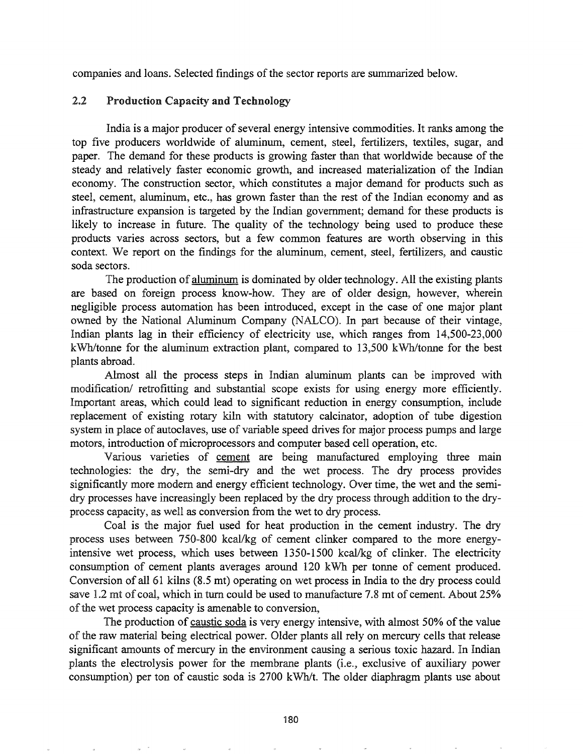companies and loans. Selected findings of the sector reports are summarized below.

# 2.2 Production Capacity and Technology

India is a major producer of several energy intensive commodities. It ranks among the top five producers worldwide of aluminum, cement, steel, fertilizers, textiles, sugar, and paper. The demand for these products is growing faster than that worldwide because of the steady and relatively faster economic growth, and increased materialization of the Indian economy. The construction sector, which constitutes a major demand for products such as steel, cement, aluminum, etc., has grown faster than the rest of the Indian economy and as infrastructure expansion is targeted by the Indian government; demand for these products is likely to increase in future. The quality of the technology being used to produce these products varies across sectors, but a few common features are worth observing in this context. We report on the findings for the aluminum, cement, steel, fertilizers, and caustic soda sectors.

The production of aluminum is dominated by older technology. All the existing plants are based on foreign process know-how. They are of older design, however, wherein negligible process automation has been introduced, except in the case of one major plant owned by the National Aluminum Company (NALCO). In part because of their vintage, Indian plants lag in their efficiency of electricity use, which ranges from 14,500-23,000 kWh/tonne for the aluminum extraction plant, compared to 13,500 kWh/tonne for the best plants abroad.

Almost all the process steps in Indian aluminum plants can be improved with modification/ retrofitting and substantial scope exists for using energy more efficiently. Important areas, which could lead to significant reduction in energy consumption, include replacement of existing rotary kiln with statutory calcinator, adoption of tube digestion system in place of autoclaves, use of variable speed drives for major process pumps and large motors, introduction of microprocessors and computer based cell operation, etc.

Various varieties of cement are being manufactured employing three main technologies: the dry, the semi-dry and the wet process. The dry process provides significantly more modem and energy efficient technology. Over time, the wet and the semidry processes have increasingly been replaced by the dry process through addition to the dryprocess capacity, as well as conversion from the wet to dry process.

Coal is the major fuel used for heat production in the cement industry. The dry process uses between 750-800 kcal/kg of cement clinker compared to the more energyintensive wet process, which uses between 1350-1500 kcal/kg of clinker. The electricity consumption of cement plants averages around 120 kWh per tonne of cement produced. Conversion of al161 kilns (8.5 mt) operating on wet process in India to the dry process could save 1.2 mt of coal, which in turn could be used to manufacture 7.8 mt of cement. About 25% of the wet process capacity is amenable to conversion,

The production of caustic soda is very energy intensive, with almost 50% of the value of the raw material being electrical power. Older plants all rely on mercury cells that release significant amounts of mercury in the environment causing a serious toxic hazard.. In Indian plants the electrolysis power for the membrane plants (i.e., exclusive of auxiliary power consumption) per ton of caustic soda is 2700 kWh/t. The older diaphragm plants use about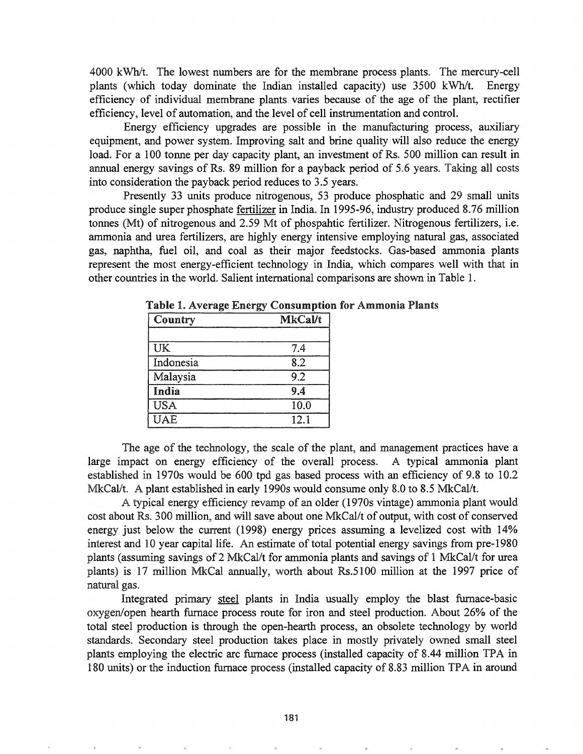$4000 \text{ kWh/t}$ . The lowest numbers are for the membrane process plants. The mercury-cell plants (which today dominate the Indian installed capacity) use 3500 kWh/t. Energy efficiency of individual membrane plants varies because of the age of the plant, rectifier efficiency, level of automation, and the level of cell instrumentation and control.

Energy efficiency upgrades are possible in the manufacturing process, auxiliary equipment, and power system. Improving salt and brine quality will also reduce the energy load. For a 100 tonne per day capacity plant, an investment of Rs. 500 million can result in annual energy savings of Rs. 89 million for a payback period of 5.6 years. Taking all costs into consideration the payback period reduces to 3.5 years..

Presently 33 units produce nitrogenous, 53 produce phosphatic and 29 small units produce single super phosphate fertilizer in India. In 1995-96, industry produced 8.76 million tonnes (Mt) of nitrogenous and 2.59 Mt of phospahtic fertilizer. Nitrogenous fertilizers, i.e. ammonia and urea fertilizers, are highly energy intensive employing natural gas, associated gas, naphtha, fuel oil, and coal as their major feedstocks. Gas-based ammonia plants represent the most energy-efficient technology in India, which compares well with that in other countries in the world. Salient international comparisons are shown in Table 1.

| Country    | <b>MkCal/t</b> |
|------------|----------------|
|            |                |
| UK         | 7.4            |
| Indonesia  | 82             |
| Malaysia   | 9.2            |
| India      | 9.4            |
| <b>USA</b> | 10.0           |
| <b>UAE</b> | 12.1           |

Table 1. Average Energy Consumption for Ammonia Plants

The age of the technology, the scale of the plant, and management practices have a large impact on energy efficiency of the overall process. A typical ammonia plant established in 1970s would be 600 tpd gas based process with an efficiency of 9.8 to 10.2 MkCal/t. A plant established in early 1990s would consume only 8.0 to 8.5 MkCal/t.

A typical energy efficiency revamp of an older (1970s vintage) ammonia plant would cost about Rs. 300 million, and will save about one *MkCal/t* of output, with cost of conserved energy just below the current (1998) energy prices assuming a levelized cost with 14% interest and 10 year capital life. An estimate of total potential energy savings from pre-1980 plants (assuming savings of 2 MkCal/t for ammonia plants and savings of 1 MkCal/t for urea plants) is 17 million MkCal annually, worth about Rs.5100 million at the 1997 price of natural gas.

Integrated primary steel plants in India usually employ the blast furnace-basic oxygen/open hearth furnace process route for iron and steel production.. About 26% of the total steel production is through the open-hearth process, an obsolete technology by world standards. Secondary steel production takes place in mostly privately owned small steel plants employing the electric arc furnace process (installed capacity of 8.44 million TPA in 180 units) or the induction furnace process (installed capacity of 8.83 million TPA in around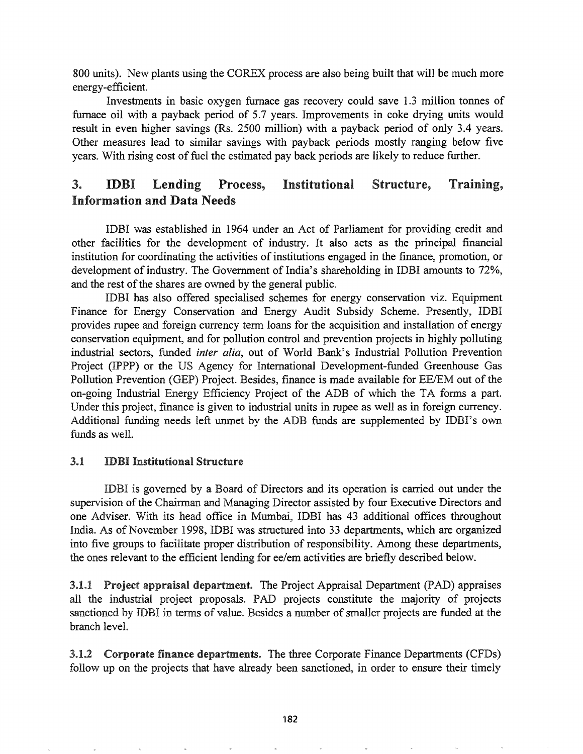800 units). New plants using the COREX process are also being built that will be much more energy-efficient.

Investments in basic oxygen furnace gas recovery could save 1.3 million tonnes of furnace oil with a payback period of 5.7 years. Improvements in coke drying units would result in even higher savings (Rs. 2500 million) with a payback period of only 3.4 years. Other measures lead to similar savings with payback periods mostly ranging below five years. With rising cost of fuel the estimated pay back periods are likely to reduce further.

# 3. **IDBI Lending Process, Institutional Structure, Training,** Information and Data Needs

IDBI was established in 1964 under an Act of Parliament for providing credit and other facilities for the development of industry. It also acts as the principal financial institution for coordinating the activities of institutions engaged in the finance, promotion, or development of industry. The Government of India's shareholding in IDBI amounts to 72%, and the rest of the shares are owned by the general public.

IDBI has also offered specialised schemes for energy conservation viz. Equipment Finance for Energy Conservation and Energy Audit Subsidy Scheme. Presently, IDBI provides rupee and foreign currency term loans for the acquisition and installation of energy conservation equipment, and for pollution control and prevention projects in highly polluting industrial sectors, funded *inter alia,* out of World Bank's Industrial Pollution Prevention Project (IPPP) or the US Agency for International Development-funded Greenhouse Gas Pollution Prevention (GEP) Project. Besides, finance is made available for EE/EM out of the on-going Industrial Energy Efficiency Project of the ADB of which the TA forms a part. Under this project, finance is given to industrial units in rupee as well as in foreign currency. Additional funding needs left unmet by the ADB funds are supplemented by IDBI's own funds as welL

# 3.1 **IDBI Institutional Structure**

IDBI is governed by a Board of Directors and its operation is carried out under the supervision of the Chairman and Managing Director assisted by four Executive Directors and one Adviser. With its head office in Mumbai, IDBI has 43 additional offices throughout India. As of November 1998, IDBI was structured into 33 departments, which are organized into five groups to facilitate proper distribution of responsibility. Among these departments, the ones relevant to the efficient lending for ee/em activities are briefly described below.

3.1.1 Project appraisal department. The Project Appraisal Department (PAD) appraises all the industrial project proposals.. PAD projects constitute the majority of projects sanctioned by IDBI in terms of value. Besides a number of smaller projects are funded at the branch level..

3.1.2 Corporate finance departments. The three Corporate Finance Departments (CFDs) follow up on the projects that have already been sanctioned, in order to ensure their timely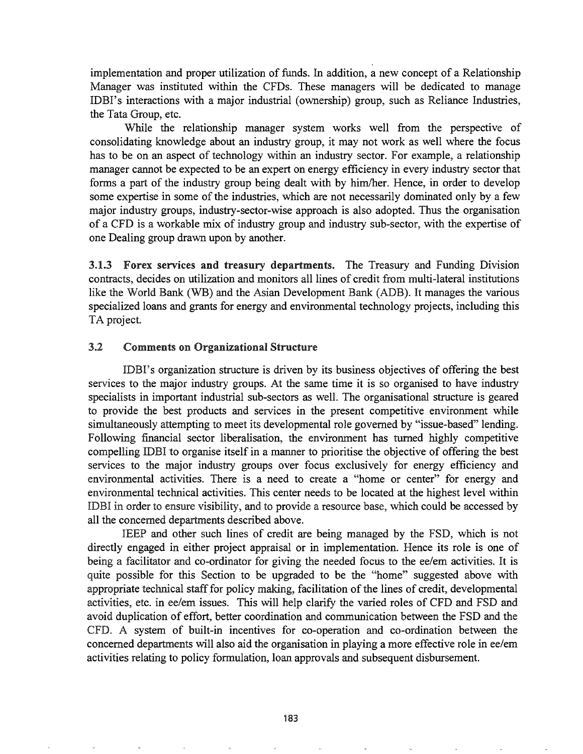implementation and proper utilization of funds. In addition, a new concept of a Relationship Manager was instituted within the CFDs. These managers will be dedicated to manage IDBI's interactions with a major industrial (ownership) group, such as Reliance Industries, the Tata Group, etc.

While the relationship manager system works well from the perspective of consolidating knowledge about an industry group, it may not work as well where the focus has to be on an aspect of technology within an industry sector. For example, a relationship manager cannot be expected to be an expert on energy efficiency in every industry sector that forms a part of the industry group being dealt with by him/her. Hence, in order to develop some expertise in some of the industries, which are not necessarily dominated only by a few major industry groups, industry-sector-wise approach is also adopted. Thus the organisation of a CFD is a workable mix of industry group and industry sub-sector, with the expertise of one Dealing group drawn upon by another.

3.1.3 Forex services and treasury departments. The Treasury and Funding Division contracts, decides on utilization and monitors all lines of credit from multi-lateral institutions like the World Bank (WB) and the Asian Development Bank (ADB). It manages the various specialized loans and grants for energy and environmental technology projects, including this TA project.

### 3.2 Comments on Organizational Structure

IDBI's organization structure is driven by its business objectives of offering the best services to the major industry groups. At the same time it is so organised to have industry specialists in important industrial sub-sectors as well. The organisational structure is geared to provide the best products and services in the present competitive environment while simultaneously attempting to meet its developmental role governed by "issue-based" lending. Following financial sector liberalisation, the environment has turned highly competitive compelling IDBI to organise itself in a manner to prioritise the objective of offering the best services to the major industry groups over focus exclusively for energy efficiency and environmental activities. There is a need to create a "home or center" for energy and environmental technical activities. This center needs to be located at the highest level within IDBI in order to ensure visibility, and to provide a resource base, which could be accessed by all the concerned departments described above.

IEEP and other such lines of credit are being managed by the FSD, which is not directly engaged in either project appraisal or in implementation. Hence its role is one of being a facilitator and co-ordinator for giving the needed focus to the ee/em activities. It is quite possible for this Section to be upgraded to be the "home" suggested above with appropriate technical staff for policy making, facilitation of the lines of credit, developmental activities, etc. in ee/em issues. This will help clarify the varied roles of CFD and FSD and avoid duplication of effort, better coordination and communication between the FSD and the CFD. A system of built-in incentives for co-operation and co-ordination between the concerned departments will also aid the organisation in playing a more effective role in ee/em activities relating to policy formulation, loan approvals and subsequent disbursement.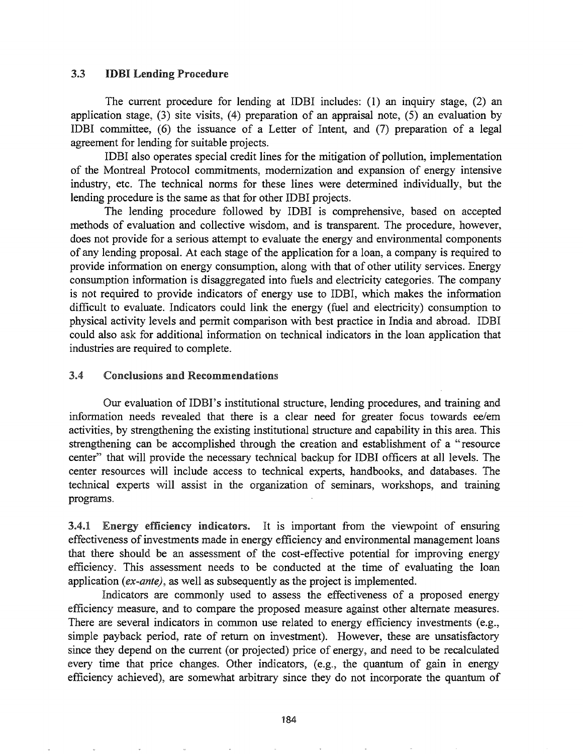### 3.3 IDBI Lending Procedure

The current procedure for lending at IDBI includes: (1) an inquiry stage, (2) an application stage, (3) site visits, (4) preparation of an appraisal note, (5) an evaluation by IDBI committee, (6) the issuance of a Letter of Intent, and (7) preparation of a legal agreement for lending for suitable projects.

IDBI also operates special credit lines for the mitigation of pollution, implementation of the Montreal Protocol commitments, modernization and expansion of energy intensive industry, etc. The technical norms for these lines were determined individually, but the lending procedure is the same as that for other IDBI projects.

The lending procedure followed by IDBI is comprehensive, based on accepted methods of evaluation and collective wisdom, and is transparent. The procedure, however, does not provide for a serious attempt to evaluate the energy and environmental components of any lending proposal. At each stage of the application for a loan, a company is required to provide information on energy consumption, along with that of other utility services. Energy consumption information is disaggregated into fuels and electricity categories. The company is not required to provide indicators of energy use to IDBI, which makes the information difficult to evaluate. Indicators could link the energy (fuel and electricity) consumption to physical activity levels and permit comparison with best practice in India and abroad. IDBI could also ask for additional information on technical indicators in the loan application that industries are required to complete.

#### $3.4$ Conclusions and Recommendations

Our evaluation of IDBI's institutional structure, lending procedures, and training and information needs revealed that there is a clear need for greater focus towards ee/em activities, by strengthening the existing institutional structure and capability in this area. This strengthening can be accomplished through the creation and establishment of a "resource center" that will provide the necessary technical backup for IDBI officers at all levels. The center resources will include access to technical experts, handbooks, and databases. The technical experts will assist in the organization of seminars, workshops, and training programs..

3.4.1 Energy efficiency indicators. It is important from the viewpoint of ensuring effectiveness of investments made in energy efficiency and environmental management loans that there should be an assessment of the cost-effective potential for improving energy efficiency. This assessment needs to be conducted at the time of evaluating the loan application *(ex-ante),* as well as subsequently as the project is implemented.

Indicators are commonly used to assess the effectiveness of a proposed energy efficiency measure, and to compare the proposed measure against other alternate measures.. There are several indicators in common use related to energy efficiency investments (e.g., simple payback period, rate of return on investment). However, these are unsatisfactory since they depend on the current (or projected) price of energy, and need to be recalculated every time that price changes. Other indicators, (e.g., the quantum of gain in energy efficiency achieved), are somewhat arbitrary since they do not incorporate the quantum of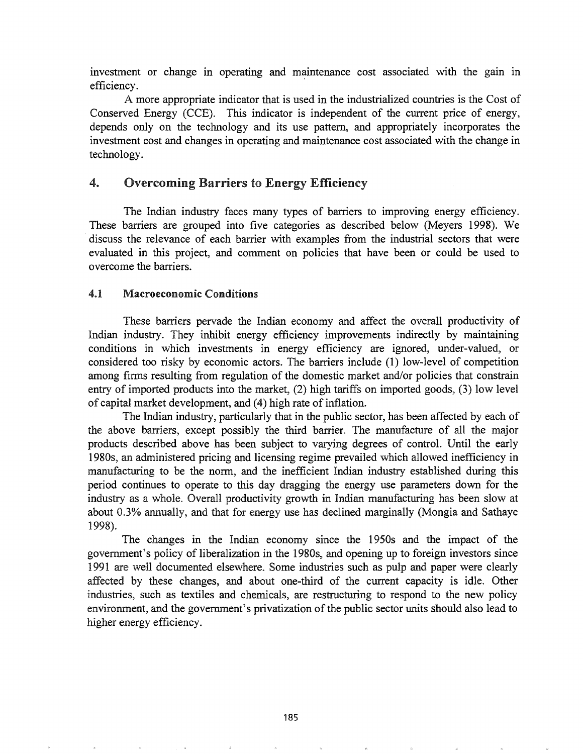investment or change in operating and maintenance cost associated with the gain in efficiency.

A more appropriate indicator that is used in the industrialized countries is the Cost of Conserved Energy (CCE). This indicator is independent of the current price of energy, depends only on the technology and its use pattern, and appropriately incorporates the investment cost and changes in operating and maintenance cost associated with the change in technology.

# 4. Overcoming Barriers to Energy Efficiency

The Indian industry faces many types of barriers to improving energy efficiency. These barriers are grouped into five categories as described below (Meyers 1998). We .discuss the relevance of each barrier with examples from the industrial sectors that were evaluated in this project, and comment on policies that have been or could be used to overcome the barriers.

### 461 Macroeconomic Conditions

These barriers pervade the Indian economy and affect the overall productivity of Indian industry. They inhibit energy efficiency improvements indirectly by maintaining conditions in which investments in energy efficiency are ignored, under-valued, or considered too risky by economic actors. The barriers include (1) low-level of competition among firms resulting from regulation of the domestic market and/or policies that constrain entry of imported products into the market, (2) high tariffs on imported goods, (3) low level of capital market development, and (4) high rate of inflation.

The Indian industry, particularly that in the public sector, has been affected by each of the above barriers, except possibly the third barrier. The manufacture of all the major products described above has been subject to varying degrees of control. Until the early 1980s, an administered pricing and licensing regime prevailed which allowed inefficiency in manufacturing to be the norm, and the inefficient Indian industry established during this period continues to operate to this day dragging the energy use parameters down for the industry as a whole. Overall productivity growth in Indian manufacturing has been slow at about 0.3% annually, and that for energy use has declined marginally (Mongia and Sathaye 1998).

The changes in the Indian economy since the 1950s and the impact of the government's policy of liberalization in the 1980s, and opening up to foreign investors since 1991 are well documented elsewhere. Some industries such as pulp and paper were clearly affected by these changes, and about one-third of the current capacity is idle. Other industries, such as textiles and chemicals, are restructuring to respond to the new policy environment, and the government's privatization of the public sector units should also lead to higher energy efficiency.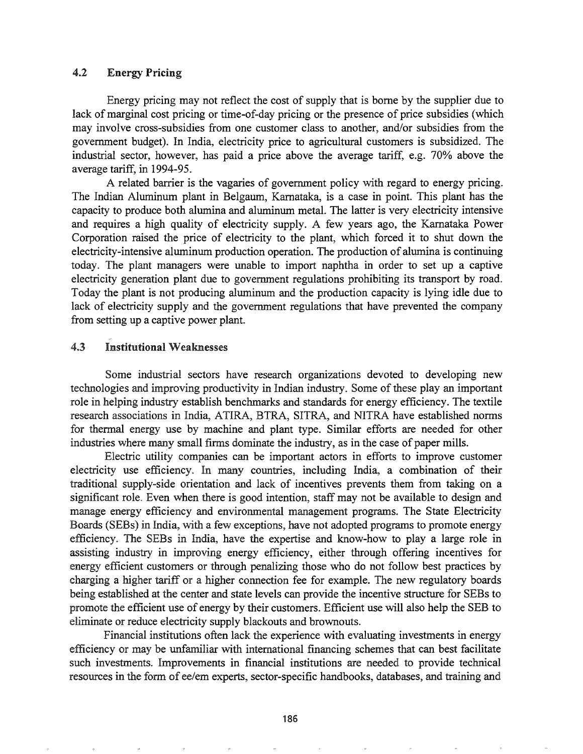### 4.2 Energy Pricing

Energy pricing may not reflect the cost of supply that is borne by the supplier due to lack of marginal cost pricing or time-of-day pricing or the presence of price subsidies (which may involve cross-subsidies from one customer class to another, and/or subsidies from the government budget). In India, electricity price to agricultural customers is subsidized. The industrial sector, however, has paid a price above the average tariff, e.g. 70% above the average tariff, in 1994-95.

A related barrier is the vagaries of government policy with regard to energy pricing. The Indian Aluminum plant in Belgaum, Karnataka, is a case in point. This plant has the capacity to produce both alumina and aluminum metal. The latter is very electricity intensive and requires a high quality of electricity supply. A few years ago, the Karnataka Power Corporation raised the price of electricity to the plant, which forced it to shut down the electricity-intensive aluminum production operation. The production of alumina is continuing today. The plant managers were unable to import naphtha in order to set up a captive electricity generation plant due to government regulations prohibiting its transport by road. Today the plant is not producing aluminum and the production capacity is lying idle due to lack of electricity supply and the government regulations that have prevented the company from setting up a captive power plant.

#### $4.3$ Institutional Weaknesses

Some industrial sectors have research organizations devoted to developing new technologies and improving productivity in Indian industry. Some of these play an important role in helping industry establish benchmarks and standards for energy efficiency. The textile research associations in India, ATlRA, BTRA, SITRA, and NITRA have established norms for thermal energy use by machine and plant type. Similar efforts are needed for other industries where many small firms dominate the industry, as in the case of paper mills.

Electric utility companies can be important actors in efforts to improve customer electricity use efficiency. In many countries, including India, a combination of their traditional supply-side orientation and lack of incentives prevents them from taking on a significant role. Even when there is good intention, staff may not be available to design and manage energy efficiency and environmental management programs. The State Electricity Boards (SEBs) in India, with a few exceptions, have not adopted programs to promote energy efficiency. The SEBs in India, have the expertise and know-how to play a large role in assisting industry in improving energy efficiency, either through offering incentives for energy efficient customers or through penalizing those who do not follow best practices by charging a higher tariff or a higher connection fee for example. The new regulatory boards being established at the center and state levels can provide the incentive structure for SEBs to promote the efficient use of energy by their customers. Efficient use will also help the SEB to eliminate or reduce electricity supply blackouts and brownouts.

Financial institutions often lack the experience with evaluating investments in energy efficiency or may be unfamiliar with international financing schemes that can best facilitate such investments. Improvements in financial institutions are needed to provide technical resources in the form of ee/em experts, sector-specific handbooks, databases, and training and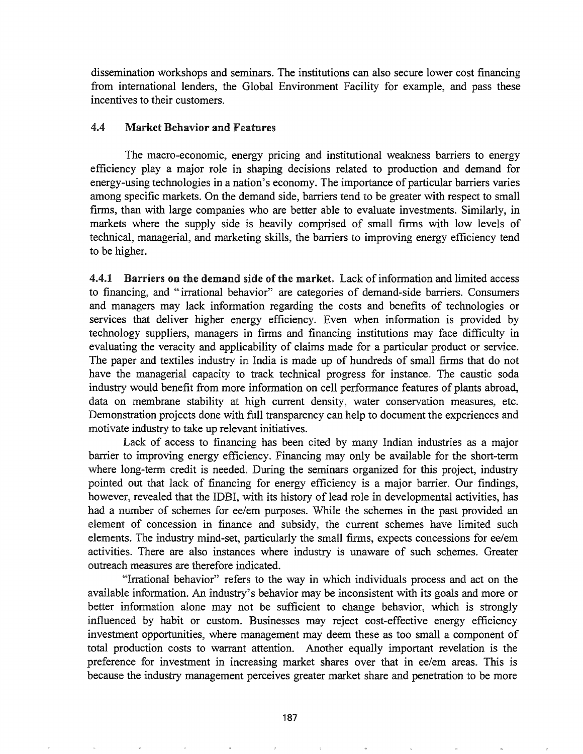dissemination workshops and seminars. The institutions can also secure lower cost financing from international lenders, the Global Environment Facility for example, and pass these incentives to their customers.

# 4.4 Market Behavior and Features

The macro-economic, energy pricing and institutional weakness barriers to energy efficiency playa major role in shaping decisions related to production and demand for energy-using technologies in a nation's economy. The importance of particular barriers varies among specific markets. On the demand side, barriers tend to be greater with respect to small firms, than with large companies who are better able to evaluate investments. Similarly, in markets where the supply side is heavily comprised of small firms with low levels of technical, managerial, and marketing skills, the barriers to improving energy efficiency tend to be higher.

4.4.1 Barriers on the demand side of the market. Lack of information and limited access to financing, and "irrational behavior" are categories of demand-side barriers. Consumers and managers may lack information regarding the costs and benefits of technologies or services that deliver higher energy efficiency.. Even when information is provided by technology suppliers, managers in firms and financing institutions may face difficulty in evaluating the veracity and applicability of claims made for a particular product or service. The paper and textiles industry in India is made up of hundreds of small firms that do not have the managerial capacity to track technical progress for instance. The caustic soda industry would benefit from more information on cell performance features of plants abroad, data on membrane stability at high current density, water conservation measures, etc. Demonstration projects done with full transparency can help to document the experiences and motivate industry to take up relevant initiatives.

Lack of access to financing has been cited by many Indian industries as a major barrier to improving energy efficiency. Financing may only be available for the short-term where long-term credit is needed. During the seminars organized for this project, industry pointed out that lack of financing for energy efficiency is a major barrier. Our findings, however, revealed that the IDBI, with its history of lead role in developmental activities, has had a number of schemes for ee/em purposes. While the schemes in the past provided an element of concession in finance and subsidy, the current schemes have limited such elements. The industry mind-set, particularly the small firms, expects concessions for ee/em activities. There are also instances where industry is unaware of such schemes. Greater outreach measures are therefore indicated..

"Irrational behavior" refers to the way in which individuals process and act on the available information.. An industry's behavior may be inconsistent with its goals and more or better information alone may not be sufficient to change behavior, which is strongly influenced by habit or custom. Businesses may reject cost-effective energy efficiency investment opportunities, where management may deem these as too small a component of total production costs to warrant attention. Another equally important revelation is the preference for investment in increasing market shares over that in ee/em areas. This is because the industry management perceives greater market share and penetration to be more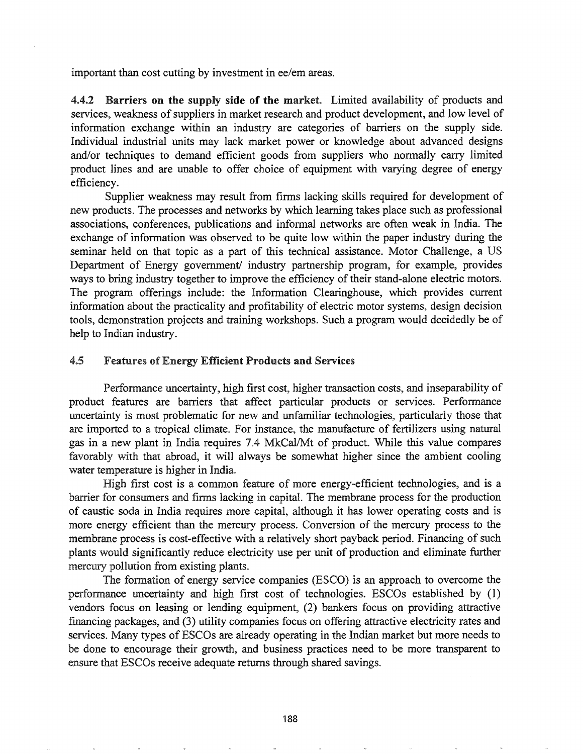important than cost cutting by investment in ee/em areas.

4.4.2 Barriers on the supply side of the market. Limited availability of products and services, weakness of suppliers in market research and product development, and low level of information exchange within an industry are categories of barriers on the supply side. Individual industrial units may lack market power or knowledge about advanced designs and/or techniques to demand efficient goods from suppliers who normally carry limited product lines and are unable to offer choice of equipment with varying degree of energy efficiency.

Supplier weakness may result from firms lacking skills required for development of new products. The processes and networks by which learning takes place such as professional associations, conferences, publications and informal networks are often weak in India. The exchange of information was observed to be quite low within the paper industry during the seminar held on that topic as a part of this technical assistance. Motor Challenge, a US Department of Energy government/ industry partnership program, for example, provides ways to bring industry together to improve the efficiency of their stand-alone electric motors. The program offerings include: the Information Clearinghouse, which provides current information about the practicality and profitability of electric motor systems, design decision tools, demonstration projects and training workshops. Such a program would decidedly be of help to Indian industry.

#### 4.5 Features of Energy Efficient Products and Services

Performance uncertainty, high first cost, higher transaction costs, and inseparability of product features are barriers that affect particular products or services. Performance uncertainty is most problematic for new and unfamiliar technologies, particularly those that are imported to a tropical climate. For instance, the manufacture of fertilizers using natural gas in a new plant in India requires 7.4 MkCal/Mt of product. While this value compares favorably with that abroad, it will always be somewhat higher since the ambient cooling water temperature is higher in India.

High first cost is a common feature of more energy-efficient technologies, and is a barrier for consumers and firms lacking in capital. The membrane process for the production of caustic soda in India requires more capital, although it has lower operating costs and is more energy efficient than the mercury process. Conversion of the mercury process to the membrane process is cost-effective with a relatively short payback period. Financing of such plants would significantly reduce electricity use per unit of production and eliminate further mercury pollution from existing plants.

The formation of energy service companies (ESCO) is an approach to overcome the performance uncertainty and high first cost of technologies. ESCOs established by (1) vendors focus on leasing or lending equipment, (2) bankers focus on providing attractive financing packages, and (3) utility companies focus on offering attractive electricity rates and services. Many types of ESCOs are already operating in the Indian market but more needs to be done to encourage their growth, and business practices need to be more transparent to ensure that ESCOs receive adequate returns through shared savings.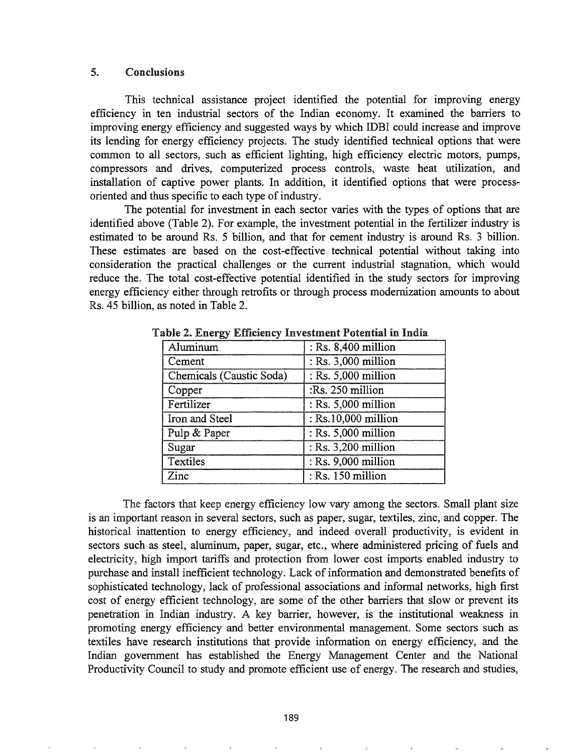### 5. Conclusions

This technical assistance project identified the potential for improving energy efficiency in ten industrial sectors of the Indian economy. It examined the barriers to improving energy efficiency and suggested ways by which IDBI could increase and improve its lending for energy efficiency projects. The study identified technical options that were common to all sectors, such as efficient lighting, high efficiency electric motors, pumps, compressors and drives, computerized process controls, waste heat utilization, and installation of captive power plants. In addition, it identified options that were processoriented and thus specific to each type of industry.

The potential for investment in each sector varies with the types of options that are identified above (Table 2). For example, the investment potential in the fertilizer industry is estimated to be around Rs. 5 billion, and that for cement industry is around Rs. 3 billion. These estimates are based on the cost-effective technical potential without taking into consideration the practical challenges or the current industrial stagnation, which would reduce the. The total cost-effective potential identified in the study sectors for improving energy efficiency either through retrofits or through process modernization amounts to about Rs. 45 billion, as noted in Table 2.

| Aluminum                 | : Rs. 8,400 million   |
|--------------------------|-----------------------|
| Cement                   | : Rs. 3,000 million   |
| Chemicals (Caustic Soda) | : Rs. 5,000 million   |
| Copper                   | :Rs. 250 million      |
| Fertilizer               | : Rs. 5,000 million   |
| Iron and Steel           | : Rs.10,000 million   |
| Pulp & Paper             | : Rs. 5,000 million   |
| Sugar                    | : Rs. 3,200 million   |
| Textiles                 | $:$ Rs. 9,000 million |
| Zinc                     | : Rs. 150 million     |

Table 2. Energy Efficiency Investment Potential in India

The factors that keep energy efficiency low vary among the sectors. Small plant size is an important reason in several sectors, such as paper, sugar, textiles, zinc, and copper. The historical inattention to energy efficiency, and indeed overall productivity, is evident in sectors such as steel, aluminum, paper, sugar, etc., where administered pricing of fuels and electricity, high import tariffs and protection from lower cost imports enabled industry to purchase and install inefficient technology. Lack of information and demonstrated benefits of sophisticated technology, lack of professional associations and informal networks, high first cost of energy efficient technology, are some of the other barriers that slow or prevent its penetration in Indian industry. A key barrier, however, is the institutional weakness in promoting energy efficiency and better environmental management. Some sectors such as textiles have research institutions that provide information on energy efficiency, and the Indian government has established the Energy Management Center and the National Productivity Council to study and promote efficient use of energy. The research and studies,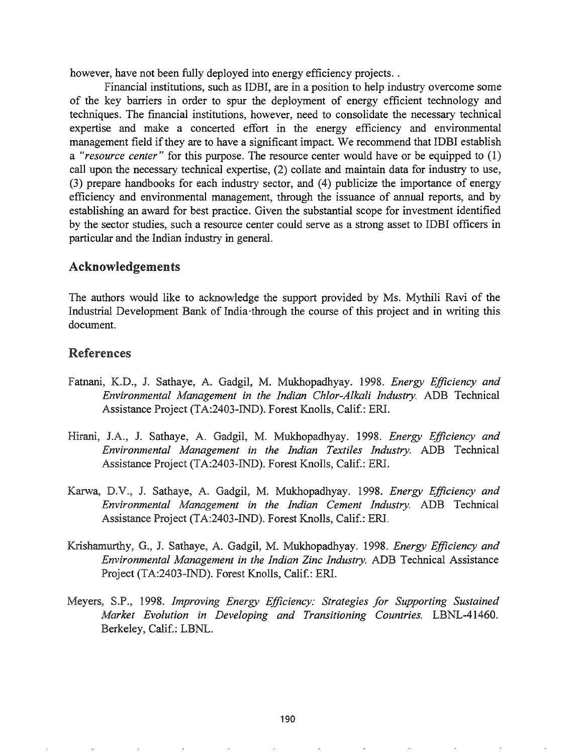however, have not been fully deployed into energy efficiency projects..

Financial institutions, such as IDBI, are in a position to help industry overcome some of the key barriers in order to spur the deployment of energy efficient technology and techniques. The financial institutions, however, need to consolidate the necessary technical expertise and make a concerted effort in the energy efficiency and environmental management field if they are to have a significant impact. We recommend that IDBI establish a *"resource center"* for this purpose. The resource center would have or be equipped to (1) call upon the necessary technical expertise, (2) collate and maintain data for industry to use, (3) prepare handbooks for each industry sector, and (4) publicize the importance of energy efficiency and environmental management, through the issuance of annual reports, and by establishing an award for best practice. Given the substantial scope for investment identified by the sector studies, such a resource center could serve as a strong asset to IDBI officers in particular and the Indian industry in general.

# Acknowledgements

The authors would like to acknowledge the support provided by Ms. Mythili Ravi of the Industrial Development Bank of India·through the course of this project and in writing this document.

# References

- Fatnani, K.D., J& Sathaye, A. Gadgil, M. Mukhopadhyay. 1998. *Energy Efficiency and Environmental Management in the Indian Chlor-Alkali Industry.* ADB Technical Assistance Project (TA:2403-IND). Forest Knolls, Calif.: ERI.
- J.A9' J. Sathaye, A. Gadgil, M. Mukhopadhyay. 1998. *Energy Efficiency and Environmental Management in the Indian Textiles Industry.* ADB Technical Assistance Project (TA:2403-IND). Forest Knolls, Calif.: ERI.
- Karwa, D.V., J. Sathaye, A. Gadgil, M. Mukhopadhyay. 1998. *Energy Efficiency and Environmental Management in the Indian Cement Industry.* ADB Technical Assistance Project (TA:2403-IND). Forest Knolls, Calif.: ERI.
- Krishamurthy, G., J. Sathaye, A. Gadgil, M. Mukhopadhyay. 1998. *Energy Efficiency and Environmental Management in the Indian Zinc Industry.* ADB Technical Assistance Project (TA:2403-IND). Forest Knolls, Calif.: ERI.
- *1998. Improving Energy Efficiency: Strategies for Supporting Sustained Market Evolution in Developing and Transitioning Countries.* LBNL-41460. Berkeley, Calif.: LBNL.